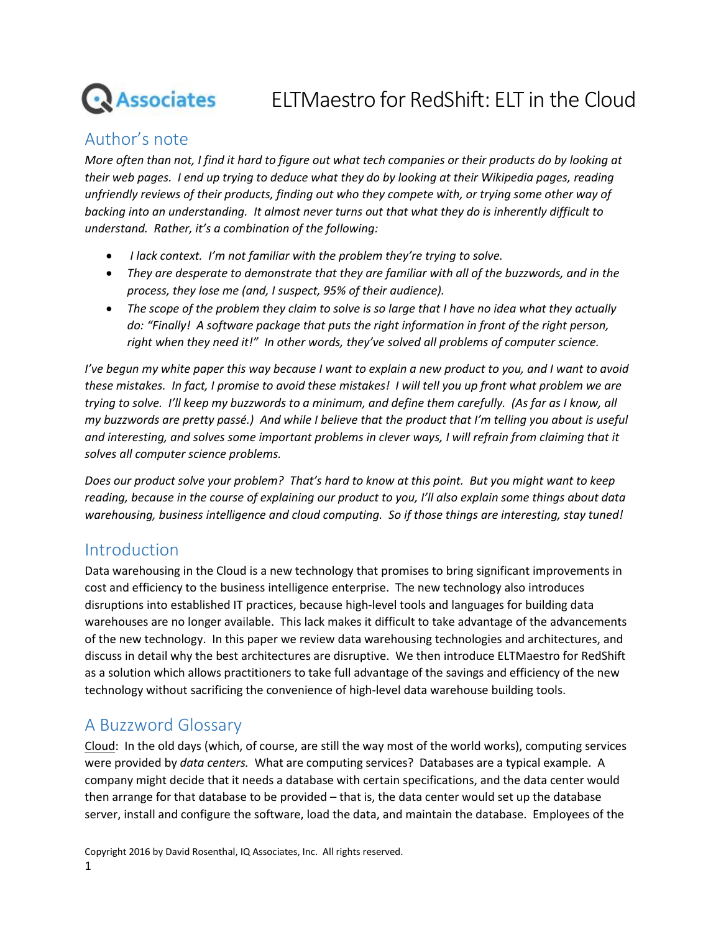# **Associates**

## ELTMaestro for RedShift: ELT in the Cloud

## Author's note

*More often than not, I find it hard to figure out what tech companies or their products do by looking at their web pages. I end up trying to deduce what they do by looking at their Wikipedia pages, reading unfriendly reviews of their products, finding out who they compete with, or trying some other way of backing into an understanding. It almost never turns out that what they do is inherently difficult to understand. Rather, it's a combination of the following:*

- *I lack context. I'm not familiar with the problem they're trying to solve.*
- *They are desperate to demonstrate that they are familiar with all of the buzzwords, and in the process, they lose me (and, I suspect, 95% of their audience).*
- *The scope of the problem they claim to solve is so large that I have no idea what they actually do: "Finally! A software package that puts the right information in front of the right person, right when they need it!" In other words, they've solved all problems of computer science.*

*I've begun my white paper this way because I want to explain a new product to you, and I want to avoid these mistakes. In fact, I promise to avoid these mistakes! I will tell you up front what problem we are trying to solve. I'll keep my buzzwords to a minimum, and define them carefully. (As far as I know, all my buzzwords are pretty passé.) And while I believe that the product that I'm telling you about is useful and interesting, and solves some important problems in clever ways, I will refrain from claiming that it solves all computer science problems.*

*Does our product solve your problem? That's hard to know at this point. But you might want to keep reading, because in the course of explaining our product to you, I'll also explain some things about data warehousing, business intelligence and cloud computing. So if those things are interesting, stay tuned!*

## Introduction

Data warehousing in the Cloud is a new technology that promises to bring significant improvements in cost and efficiency to the business intelligence enterprise. The new technology also introduces disruptions into established IT practices, because high-level tools and languages for building data warehouses are no longer available. This lack makes it difficult to take advantage of the advancements of the new technology. In this paper we review data warehousing technologies and architectures, and discuss in detail why the best architectures are disruptive. We then introduce ELTMaestro for RedShift as a solution which allows practitioners to take full advantage of the savings and efficiency of the new technology without sacrificing the convenience of high-level data warehouse building tools.

## A Buzzword Glossary

Cloud: In the old days (which, of course, are still the way most of the world works), computing services were provided by *data centers.* What are computing services? Databases are a typical example. A company might decide that it needs a database with certain specifications, and the data center would then arrange for that database to be provided – that is, the data center would set up the database server, install and configure the software, load the data, and maintain the database. Employees of the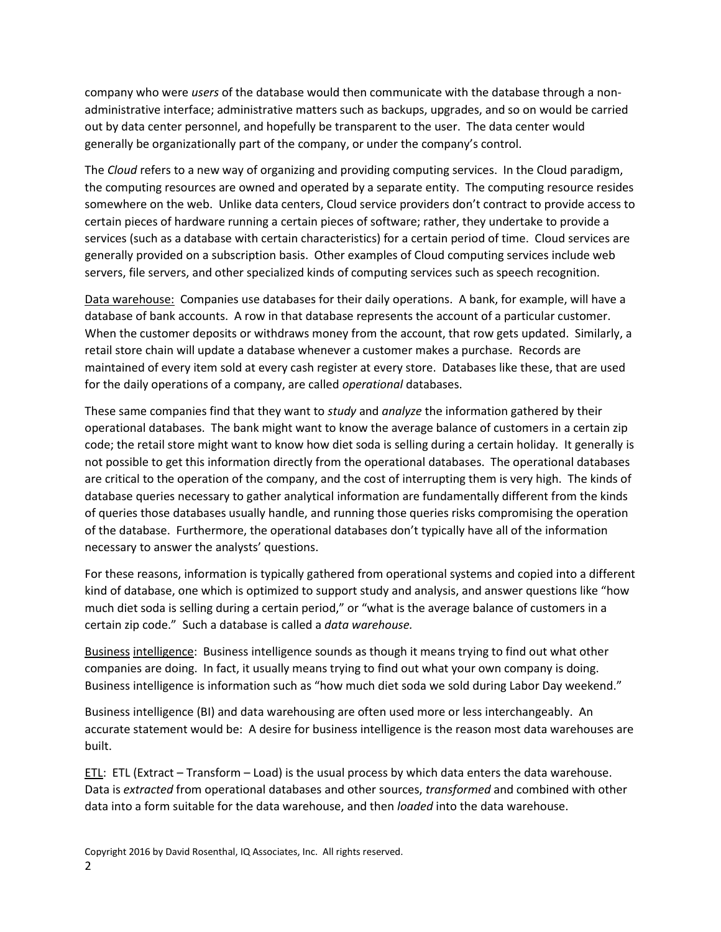company who were *users* of the database would then communicate with the database through a nonadministrative interface; administrative matters such as backups, upgrades, and so on would be carried out by data center personnel, and hopefully be transparent to the user. The data center would generally be organizationally part of the company, or under the company's control.

The *Cloud* refers to a new way of organizing and providing computing services. In the Cloud paradigm, the computing resources are owned and operated by a separate entity. The computing resource resides somewhere on the web. Unlike data centers, Cloud service providers don't contract to provide access to certain pieces of hardware running a certain pieces of software; rather, they undertake to provide a services (such as a database with certain characteristics) for a certain period of time. Cloud services are generally provided on a subscription basis. Other examples of Cloud computing services include web servers, file servers, and other specialized kinds of computing services such as speech recognition.

Data warehouse: Companies use databases for their daily operations. A bank, for example, will have a database of bank accounts. A row in that database represents the account of a particular customer. When the customer deposits or withdraws money from the account, that row gets updated. Similarly, a retail store chain will update a database whenever a customer makes a purchase. Records are maintained of every item sold at every cash register at every store. Databases like these, that are used for the daily operations of a company, are called *operational* databases.

These same companies find that they want to *study* and *analyze* the information gathered by their operational databases. The bank might want to know the average balance of customers in a certain zip code; the retail store might want to know how diet soda is selling during a certain holiday. It generally is not possible to get this information directly from the operational databases. The operational databases are critical to the operation of the company, and the cost of interrupting them is very high. The kinds of database queries necessary to gather analytical information are fundamentally different from the kinds of queries those databases usually handle, and running those queries risks compromising the operation of the database. Furthermore, the operational databases don't typically have all of the information necessary to answer the analysts' questions.

For these reasons, information is typically gathered from operational systems and copied into a different kind of database, one which is optimized to support study and analysis, and answer questions like "how much diet soda is selling during a certain period," or "what is the average balance of customers in a certain zip code." Such a database is called a *data warehouse.*

Business intelligence: Business intelligence sounds as though it means trying to find out what other companies are doing. In fact, it usually means trying to find out what your own company is doing. Business intelligence is information such as "how much diet soda we sold during Labor Day weekend."

Business intelligence (BI) and data warehousing are often used more or less interchangeably. An accurate statement would be: A desire for business intelligence is the reason most data warehouses are built.

ETL: ETL (Extract – Transform – Load) is the usual process by which data enters the data warehouse. Data is *extracted* from operational databases and other sources, *transformed* and combined with other data into a form suitable for the data warehouse, and then *loaded* into the data warehouse.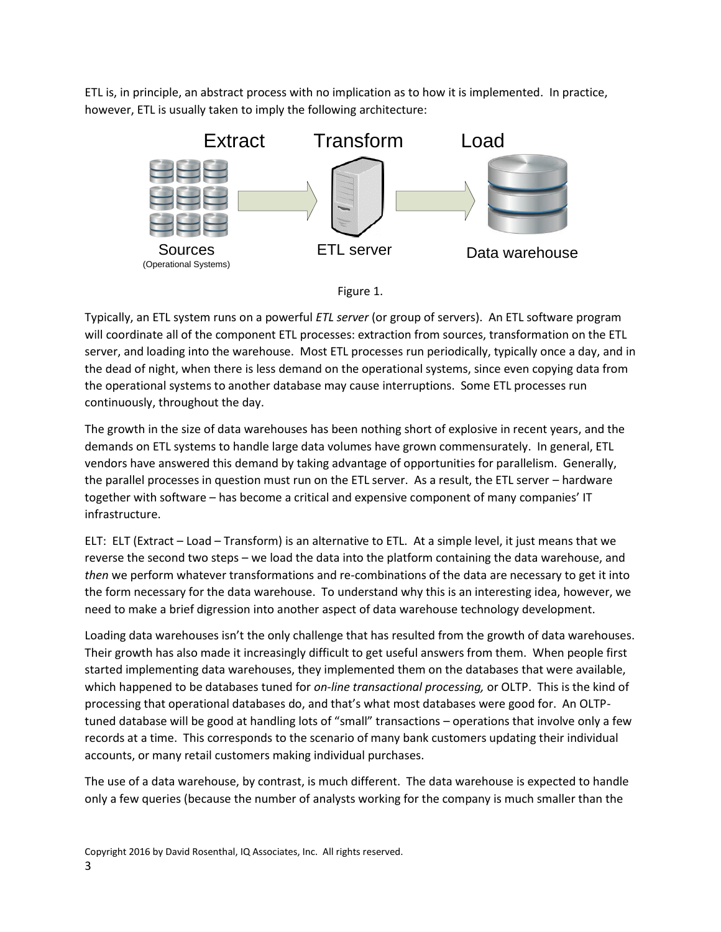ETL is, in principle, an abstract process with no implication as to how it is implemented. In practice, however, ETL is usually taken to imply the following architecture:





Typically, an ETL system runs on a powerful *ETL server* (or group of servers). An ETL software program will coordinate all of the component ETL processes: extraction from sources, transformation on the ETL server, and loading into the warehouse. Most ETL processes run periodically, typically once a day, and in the dead of night, when there is less demand on the operational systems, since even copying data from the operational systems to another database may cause interruptions. Some ETL processes run continuously, throughout the day.

The growth in the size of data warehouses has been nothing short of explosive in recent years, and the demands on ETL systems to handle large data volumes have grown commensurately. In general, ETL vendors have answered this demand by taking advantage of opportunities for parallelism. Generally, the parallel processes in question must run on the ETL server. As a result, the ETL server – hardware together with software – has become a critical and expensive component of many companies' IT infrastructure.

ELT: ELT (Extract – Load – Transform) is an alternative to ETL. At a simple level, it just means that we reverse the second two steps – we load the data into the platform containing the data warehouse, and *then* we perform whatever transformations and re-combinations of the data are necessary to get it into the form necessary for the data warehouse. To understand why this is an interesting idea, however, we need to make a brief digression into another aspect of data warehouse technology development.

Loading data warehouses isn't the only challenge that has resulted from the growth of data warehouses. Their growth has also made it increasingly difficult to get useful answers from them. When people first started implementing data warehouses, they implemented them on the databases that were available, which happened to be databases tuned for *on-line transactional processing,* or OLTP. This is the kind of processing that operational databases do, and that's what most databases were good for. An OLTPtuned database will be good at handling lots of "small" transactions – operations that involve only a few records at a time. This corresponds to the scenario of many bank customers updating their individual accounts, or many retail customers making individual purchases.

The use of a data warehouse, by contrast, is much different. The data warehouse is expected to handle only a few queries (because the number of analysts working for the company is much smaller than the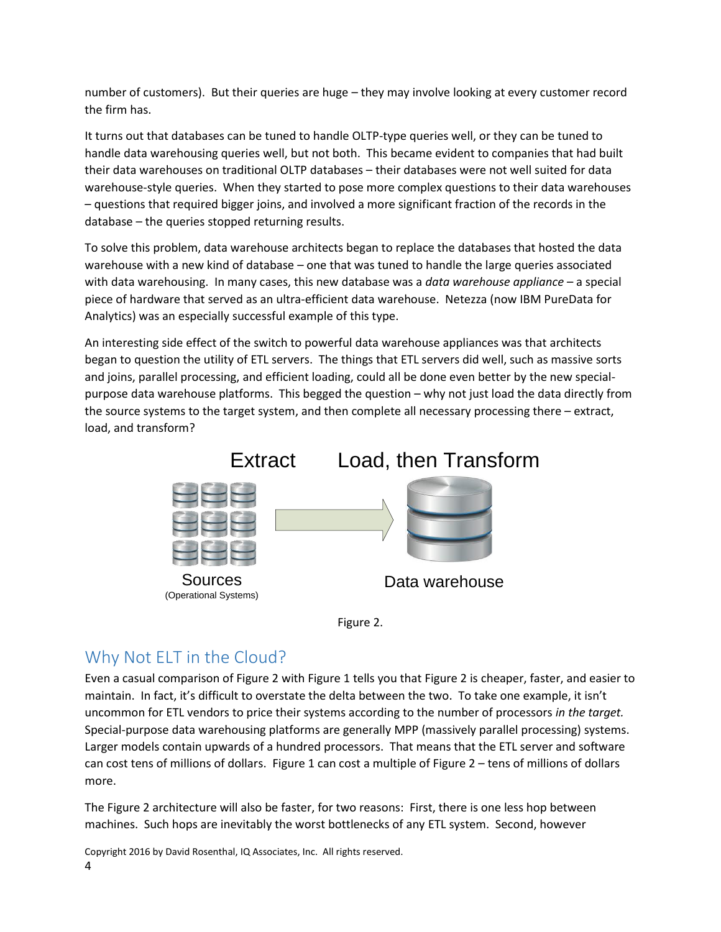number of customers). But their queries are huge – they may involve looking at every customer record the firm has.

It turns out that databases can be tuned to handle OLTP-type queries well, or they can be tuned to handle data warehousing queries well, but not both. This became evident to companies that had built their data warehouses on traditional OLTP databases – their databases were not well suited for data warehouse-style queries. When they started to pose more complex questions to their data warehouses – questions that required bigger joins, and involved a more significant fraction of the records in the database – the queries stopped returning results.

To solve this problem, data warehouse architects began to replace the databases that hosted the data warehouse with a new kind of database – one that was tuned to handle the large queries associated with data warehousing. In many cases, this new database was a *data warehouse appliance* – a special piece of hardware that served as an ultra-efficient data warehouse. Netezza (now IBM PureData for Analytics) was an especially successful example of this type.

An interesting side effect of the switch to powerful data warehouse appliances was that architects began to question the utility of ETL servers. The things that ETL servers did well, such as massive sorts and joins, parallel processing, and efficient loading, could all be done even better by the new specialpurpose data warehouse platforms. This begged the question – why not just load the data directly from the source systems to the target system, and then complete all necessary processing there – extract, load, and transform?





## Why Not ELT in the Cloud?

Even a casual comparison of Figure 2 with Figure 1 tells you that Figure 2 is cheaper, faster, and easier to maintain. In fact, it's difficult to overstate the delta between the two. To take one example, it isn't uncommon for ETL vendors to price their systems according to the number of processors *in the target.* Special-purpose data warehousing platforms are generally MPP (massively parallel processing) systems. Larger models contain upwards of a hundred processors. That means that the ETL server and software can cost tens of millions of dollars. Figure 1 can cost a multiple of Figure 2 – tens of millions of dollars more.

The Figure 2 architecture will also be faster, for two reasons: First, there is one less hop between machines. Such hops are inevitably the worst bottlenecks of any ETL system. Second, however

Copyright 2016 by David Rosenthal, IQ Associates, Inc. All rights reserved. 4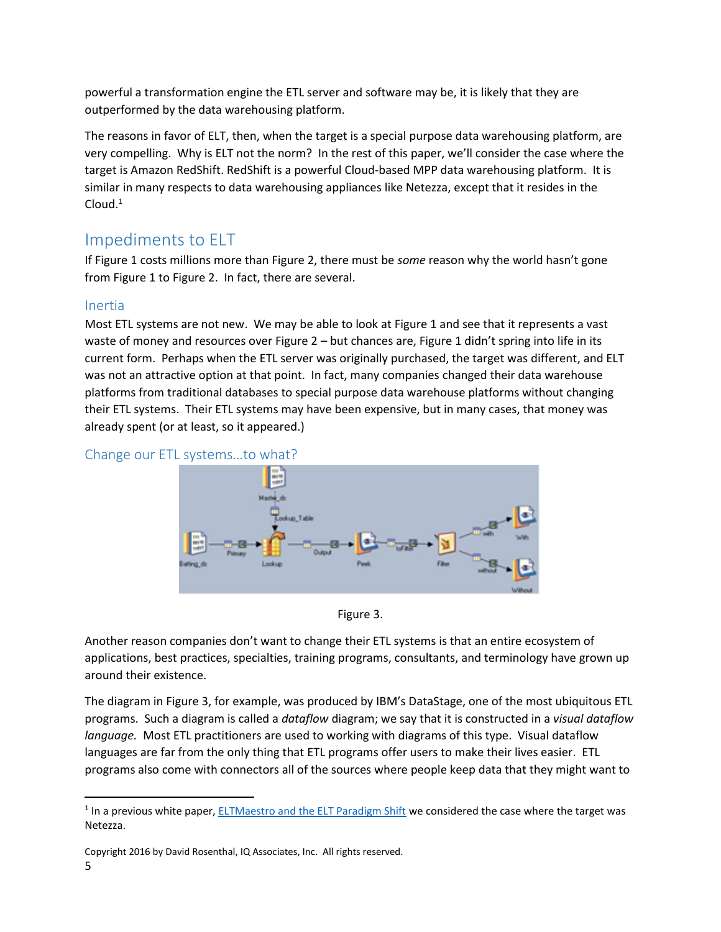powerful a transformation engine the ETL server and software may be, it is likely that they are outperformed by the data warehousing platform.

The reasons in favor of ELT, then, when the target is a special purpose data warehousing platform, are very compelling. Why is ELT not the norm? In the rest of this paper, we'll consider the case where the target is Amazon RedShift. RedShift is a powerful Cloud-based MPP data warehousing platform. It is similar in many respects to data warehousing appliances like Netezza, except that it resides in the  $C$ loud. $<sup>1</sup>$ </sup>

## Impediments to ELT

If Figure 1 costs millions more than Figure 2, there must be *some* reason why the world hasn't gone from Figure 1 to Figure 2. In fact, there are several.

#### Inertia

 $\overline{a}$ 

Most ETL systems are not new. We may be able to look at Figure 1 and see that it represents a vast waste of money and resources over Figure 2 – but chances are, Figure 1 didn't spring into life in its current form. Perhaps when the ETL server was originally purchased, the target was different, and ELT was not an attractive option at that point. In fact, many companies changed their data warehouse platforms from traditional databases to special purpose data warehouse platforms without changing their ETL systems. Their ETL systems may have been expensive, but in many cases, that money was already spent (or at least, so it appeared.)





Figure 3.

Another reason companies don't want to change their ETL systems is that an entire ecosystem of applications, best practices, specialties, training programs, consultants, and terminology have grown up around their existence.

The diagram in Figure 3, for example, was produced by IBM's DataStage, one of the most ubiquitous ETL programs. Such a diagram is called a *dataflow* diagram; we say that it is constructed in a *visual dataflow language.* Most ETL practitioners are used to working with diagrams of this type. Visual dataflow languages are far from the only thing that ETL programs offer users to make their lives easier. ETL programs also come with connectors all of the sources where people keep data that they might want to

<sup>&</sup>lt;sup>1</sup> In a previous white paper[, ELTMaestro and the ELT Paradigm Shift](http://eltmaestro.com/white_paper/) we considered the case where the target was Netezza.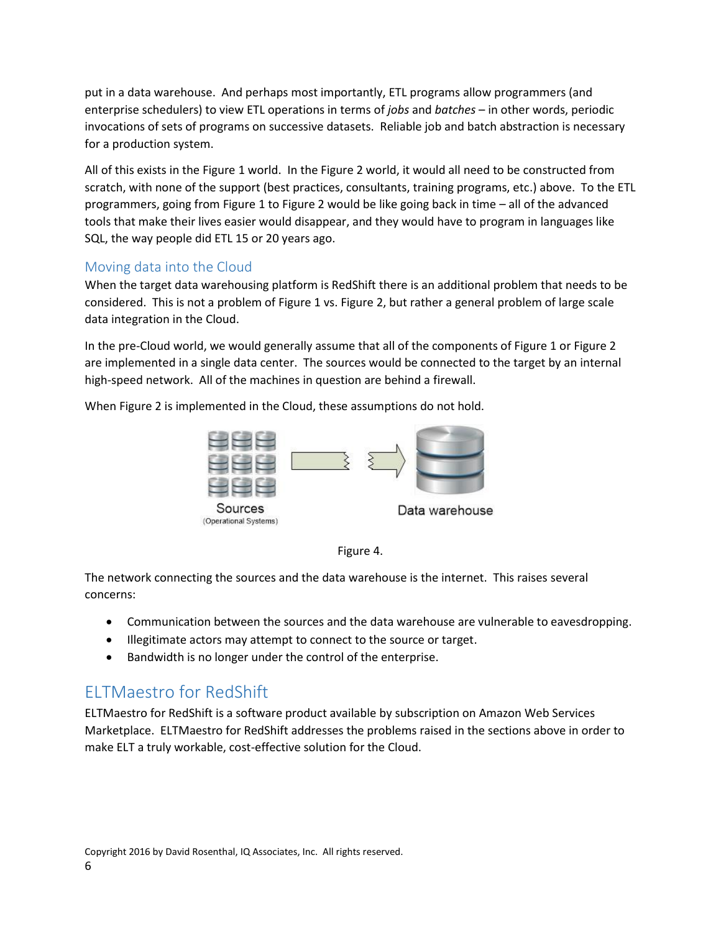put in a data warehouse. And perhaps most importantly, ETL programs allow programmers (and enterprise schedulers) to view ETL operations in terms of *jobs* and *batches* – in other words, periodic invocations of sets of programs on successive datasets. Reliable job and batch abstraction is necessary for a production system.

All of this exists in the Figure 1 world. In the Figure 2 world, it would all need to be constructed from scratch, with none of the support (best practices, consultants, training programs, etc.) above. To the ETL programmers, going from Figure 1 to Figure 2 would be like going back in time – all of the advanced tools that make their lives easier would disappear, and they would have to program in languages like SQL, the way people did ETL 15 or 20 years ago.

#### Moving data into the Cloud

When the target data warehousing platform is RedShift there is an additional problem that needs to be considered. This is not a problem of Figure 1 vs. Figure 2, but rather a general problem of large scale data integration in the Cloud.

In the pre-Cloud world, we would generally assume that all of the components of Figure 1 or Figure 2 are implemented in a single data center. The sources would be connected to the target by an internal high-speed network. All of the machines in question are behind a firewall.

When Figure 2 is implemented in the Cloud, these assumptions do not hold.





The network connecting the sources and the data warehouse is the internet. This raises several concerns:

- Communication between the sources and the data warehouse are vulnerable to eavesdropping.
- **Illegitimate actors may attempt to connect to the source or target.**
- Bandwidth is no longer under the control of the enterprise.

## ELTMaestro for RedShift

ELTMaestro for RedShift is a software product available by subscription on Amazon Web Services Marketplace. ELTMaestro for RedShift addresses the problems raised in the sections above in order to make ELT a truly workable, cost-effective solution for the Cloud.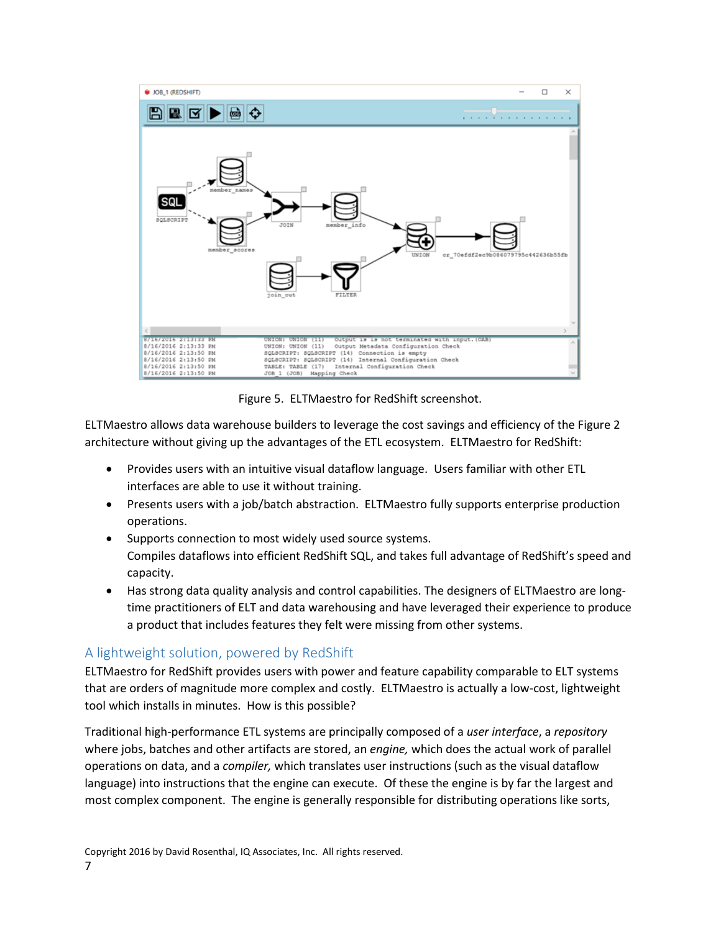

Figure 5. ELTMaestro for RedShift screenshot.

ELTMaestro allows data warehouse builders to leverage the cost savings and efficiency of the Figure 2 architecture without giving up the advantages of the ETL ecosystem. ELTMaestro for RedShift:

- Provides users with an intuitive visual dataflow language. Users familiar with other ETL interfaces are able to use it without training.
- Presents users with a job/batch abstraction. ELTMaestro fully supports enterprise production operations.
- Supports connection to most widely used source systems. Compiles dataflows into efficient RedShift SQL, and takes full advantage of RedShift's speed and capacity.
- Has strong data quality analysis and control capabilities. The designers of ELTMaestro are longtime practitioners of ELT and data warehousing and have leveraged their experience to produce a product that includes features they felt were missing from other systems.

#### A lightweight solution, powered by RedShift

ELTMaestro for RedShift provides users with power and feature capability comparable to ELT systems that are orders of magnitude more complex and costly. ELTMaestro is actually a low-cost, lightweight tool which installs in minutes. How is this possible?

Traditional high-performance ETL systems are principally composed of a *user interface*, a *repository* where jobs, batches and other artifacts are stored, an *engine,* which does the actual work of parallel operations on data, and a *compiler,* which translates user instructions (such as the visual dataflow language) into instructions that the engine can execute. Of these the engine is by far the largest and most complex component. The engine is generally responsible for distributing operations like sorts,